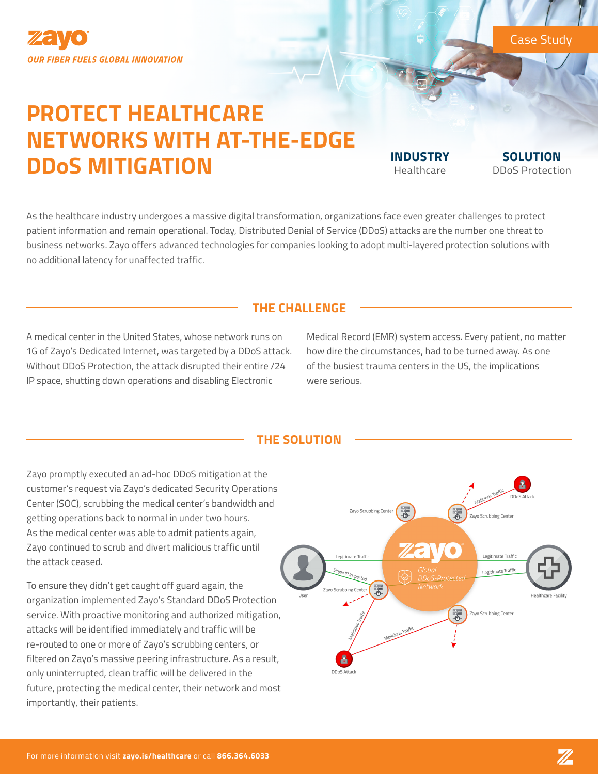

# **PROTECT HEALTHCARE NETWORKS WITH AT-THE-EDGE DDoS MITIGATION INDUSTRY**

Healthcare

**SOLUTION** DDoS Protection

Case Study

As the healthcare industry undergoes a massive digital transformation, organizations face even greater challenges to protect patient information and remain operational. Today, Distributed Denial of Service (DDoS) attacks are the number one threat to business networks. Zayo offers advanced technologies for companies looking to adopt multi-layered protection solutions with no additional latency for unaffected traffic.

## **THE CHALLENGE**

A medical center in the United States, whose network runs on 1G of Zayo's Dedicated Internet, was targeted by a DDoS attack. Without DDoS Protection, the attack disrupted their entire /24 IP space, shutting down operations and disabling Electronic

Medical Record (EMR) system access. Every patient, no matter how dire the circumstances, had to be turned away. As one of the busiest trauma centers in the US, the implications were serious.

## **THE SOLUTION**

Zayo promptly executed an ad-hoc DDoS mitigation at the customer's request via Zayo's dedicated Security Operations Center (SOC), scrubbing the medical center's bandwidth and getting operations back to normal in under two hours. As the medical center was able to admit patients again, Zayo continued to scrub and divert malicious traffic until the attack ceased.

To ensure they didn't get caught off guard again, the organization implemented Zayo's Standard DDoS Protection service. With proactive monitoring and authorized mitigation, attacks will be identified immediately and traffic will be re-routed to one or more of Zayo's scrubbing centers, or filtered on Zayo's massive peering infrastructure. As a result, only uninterrupted, clean traffic will be delivered in the future, protecting the medical center, their network and most importantly, their patients.